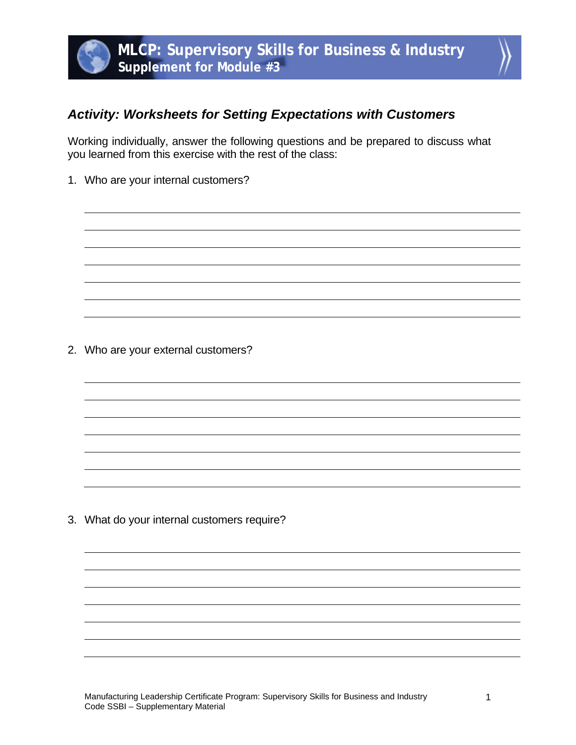

## *Activity: Worksheets for Setting Expectations with Customers*

Working individually, answer the following questions and be prepared to discuss what you learned from this exercise with the rest of the class:

1. Who are your internal customers?

2. Who are your external customers?

3. What do your internal customers require?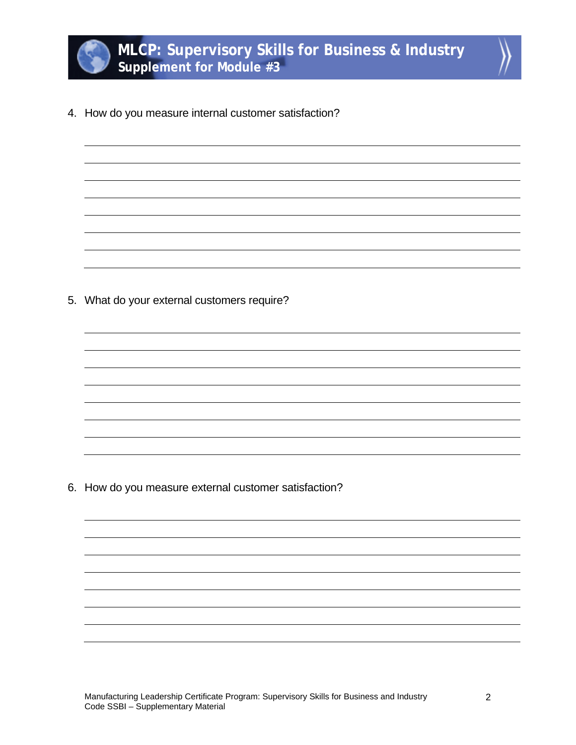

4. How do you measure internal customer satisfaction?

5. What do your external customers require?

6. How do you measure external customer satisfaction?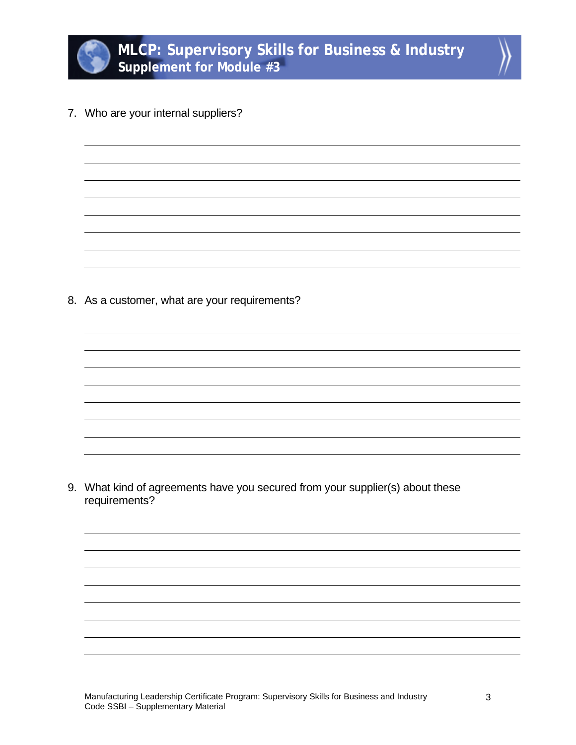

7. Who are your internal suppliers?

8. As a customer, what are your requirements?

9. What kind of agreements have you secured from your supplier(s) about these requirements?